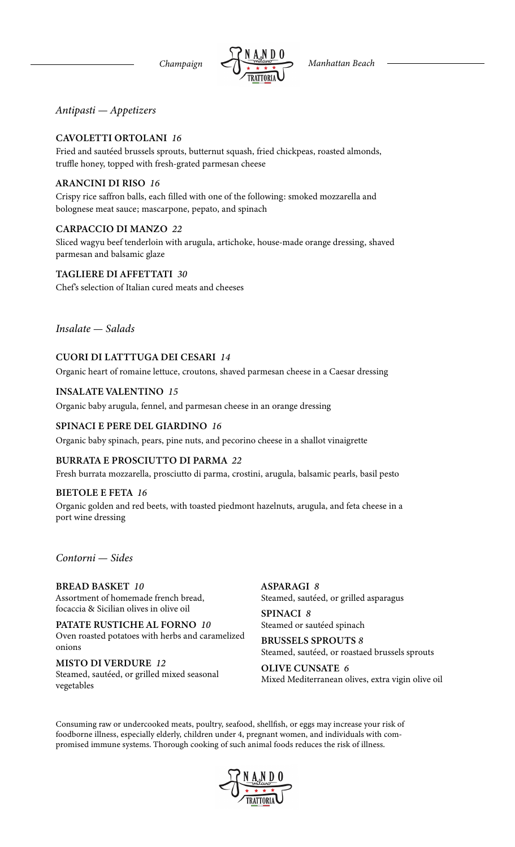*Antipasti — Appetizers*

### CAVOLETTI ORTOLANI *16*

Fried and sautéed brussels sprouts, butternut squash, fried chickpeas, roasted almonds, truffle honey, topped with fresh-grated parmesan cheese

#### ARANCINI DI RISO *16*

Crispy rice saffron balls, each filled with one of the following: smoked mozzarella and bolognese meat sauce; mascarpone, pepato, and spinach

#### CARPACCIO DI MANZO *22*

Sliced wagyu beef tenderloin with arugula, artichoke, house-made orange dressing, shaved parmesan and balsamic glaze

TAGLIERE DI AFFETTATI *30*

Chef's selection of Italian cured meats and cheeses

*Insalate — Salads*

# CUORI DI LATTTUGA DEI CESARI *14*

Organic heart of romaine lettuce, croutons, shaved parmesan cheese in a Caesar dressing

#### INSALATE VALENTINO *15*

Organic baby arugula, fennel, and parmesan cheese in an orange dressing

#### SPINACI E PERE DEL GIARDINO *16*

Organic baby spinach, pears, pine nuts, and pecorino cheese in a shallot vinaigrette

#### BURRATA E PROSCIUTTO DI PARMA *22*

Fresh burrata mozzarella, prosciutto di parma, crostini, arugula, balsamic pearls, basil pesto

#### BIETOLE E FETA *16*

Organic golden and red beets, with toasted piedmont hazelnuts, arugula, and feta cheese in a port wine dressing

### *Contorni — Sides*

#### BREAD BASKET *10* Assortment of homemade french bread, focaccia & Sicilian olives in olive oil

PATATE RUSTICHE AL FORNO *10* Oven roasted potatoes with herbs and caramelized onions

MISTO DI VERDURE *12* Steamed, sautéed, or grilled mixed seasonal vegetables

ASPARAGI *8* Steamed, sautéed, or grilled asparagus

SPINACI *8* Steamed or sautéed spinach

BRUSSELS SPROUTS *8* Steamed, sautéed, or roastaed brussels sprouts

OLIVE CUNSATE *6* Mixed Mediterranean olives, extra vigin olive oil

Consuming raw or undercooked meats, poultry, seafood, shellfish, or eggs may increase your risk of foodborne illness, especially elderly, children under 4, pregnant women, and individuals with compromised immune systems. Thorough cooking of such animal foods reduces the risk of illness.